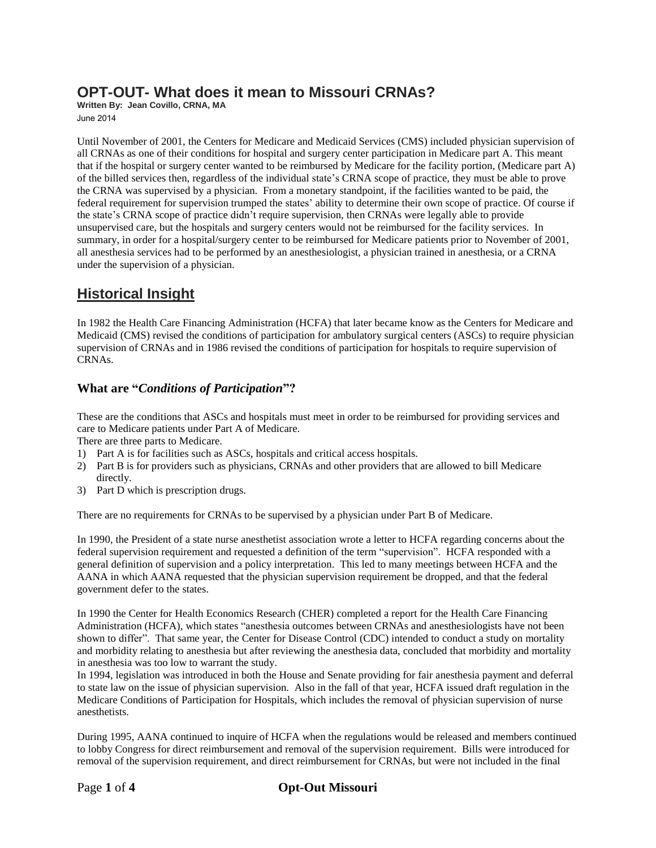## **OPT-OUT- What does it mean to Missouri CRNAs?**

**Written By: Jean Covillo, CRNA, MA** June 2014

Until November of 2001, the Centers for Medicare and Medicaid Services (CMS) included physician supervision of all CRNAs as one of their conditions for hospital and surgery center participation in Medicare part A. This meant that if the hospital or surgery center wanted to be reimbursed by Medicare for the facility portion, (Medicare part A) of the billed services then, regardless of the individual state's CRNA scope of practice, they must be able to prove the CRNA was supervised by a physician. From a monetary standpoint, if the facilities wanted to be paid, the federal requirement for supervision trumped the states' ability to determine their own scope of practice. Of course if the state's CRNA scope of practice didn't require supervision, then CRNAs were legally able to provide unsupervised care, but the hospitals and surgery centers would not be reimbursed for the facility services. In summary, in order for a hospital/surgery center to be reimbursed for Medicare patients prior to November of 2001, all anesthesia services had to be performed by an anesthesiologist, a physician trained in anesthesia, or a CRNA under the supervision of a physician.

# **Historical Insight**

In 1982 the Health Care Financing Administration (HCFA) that later became know as the Centers for Medicare and Medicaid (CMS) revised the conditions of participation for ambulatory surgical centers (ASCs) to require physician supervision of CRNAs and in 1986 revised the conditions of participation for hospitals to require supervision of CRNAs.

#### **What are "***Conditions of Participation***"?**

These are the conditions that ASCs and hospitals must meet in order to be reimbursed for providing services and care to Medicare patients under Part A of Medicare.

There are three parts to Medicare.

- 1) Part A is for facilities such as ASCs, hospitals and critical access hospitals.
- 2) Part B is for providers such as physicians, CRNAs and other providers that are allowed to bill Medicare directly.
- 3) Part D which is prescription drugs.

There are no requirements for CRNAs to be supervised by a physician under Part B of Medicare.

In 1990, the President of a state nurse anesthetist association wrote a letter to HCFA regarding concerns about the federal supervision requirement and requested a definition of the term "supervision". HCFA responded with a general definition of supervision and a policy interpretation. This led to many meetings between HCFA and the AANA in which AANA requested that the physician supervision requirement be dropped, and that the federal government defer to the states.

In 1990 the Center for Health Economics Research (CHER) completed a report for the Health Care Financing Administration (HCFA), which states "anesthesia outcomes between CRNAs and anesthesiologists have not been shown to differ". That same year, the Center for Disease Control (CDC) intended to conduct a study on mortality and morbidity relating to anesthesia but after reviewing the anesthesia data, concluded that morbidity and mortality in anesthesia was too low to warrant the study.

In 1994, legislation was introduced in both the House and Senate providing for fair anesthesia payment and deferral to state law on the issue of physician supervision. Also in the fall of that year, HCFA issued draft regulation in the Medicare Conditions of Participation for Hospitals, which includes the removal of physician supervision of nurse anesthetists.

During 1995, AANA continued to inquire of HCFA when the regulations would be released and members continued to lobby Congress for direct reimbursement and removal of the supervision requirement. Bills were introduced for removal of the supervision requirement, and direct reimbursement for CRNAs, but were not included in the final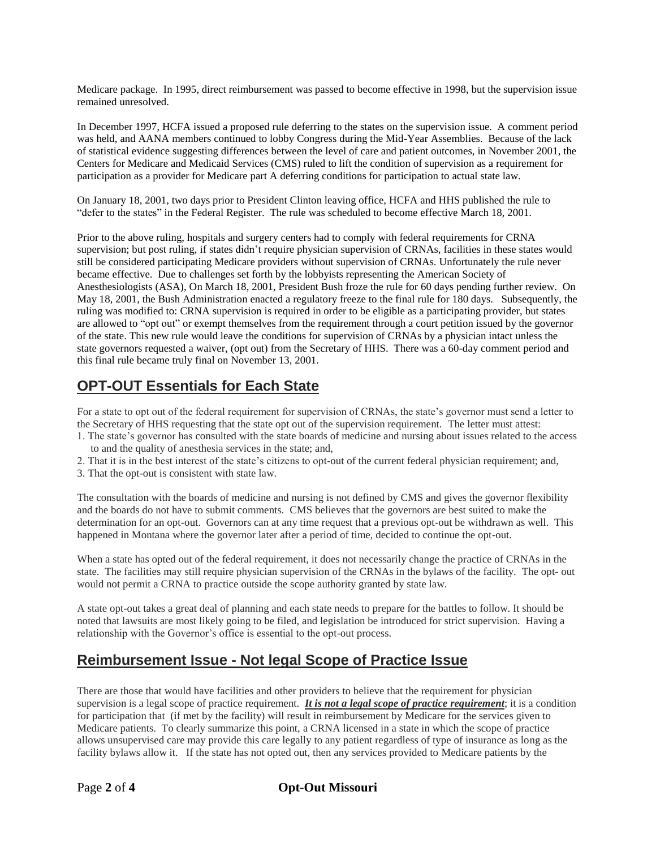Medicare package. In 1995, direct reimbursement was passed to become effective in 1998, but the supervision issue remained unresolved.

In December 1997, HCFA issued a proposed rule deferring to the states on the supervision issue. A comment period was held, and AANA members continued to lobby Congress during the Mid-Year Assemblies. Because of the lack of statistical evidence suggesting differences between the level of care and patient outcomes, in November 2001, the Centers for Medicare and Medicaid Services (CMS) ruled to lift the condition of supervision as a requirement for participation as a provider for Medicare part A deferring conditions for participation to actual state law.

On January 18, 2001, two days prior to President Clinton leaving office, HCFA and HHS published the rule to "defer to the states" in the Federal Register. The rule was scheduled to become effective March 18, 2001.

Prior to the above ruling, hospitals and surgery centers had to comply with federal requirements for CRNA supervision; but post ruling, if states didn't require physician supervision of CRNAs, facilities in these states would still be considered participating Medicare providers without supervision of CRNAs. Unfortunately the rule never became effective. Due to challenges set forth by the lobbyists representing the American Society of Anesthesiologists (ASA), On March 18, 2001, President Bush froze the rule for 60 days pending further review. On May 18, 2001, the Bush Administration enacted a regulatory freeze to the final rule for 180 days. Subsequently, the ruling was modified to: CRNA supervision is required in order to be eligible as a participating provider, but states are allowed to "opt out" or exempt themselves from the requirement through a court petition issued by the governor of the state. This new rule would leave the conditions for supervision of CRNAs by a physician intact unless the state governors requested a waiver, (opt out) from the Secretary of HHS. There was a 60-day comment period and this final rule became truly final on November 13, 2001.

## **OPT-OUT Essentials for Each State**

For a state to opt out of the federal requirement for supervision of CRNAs, the state's governor must send a letter to the Secretary of HHS requesting that the state opt out of the supervision requirement. The letter must attest:

- 1. The state's governor has consulted with the state boards of medicine and nursing about issues related to the access to and the quality of anesthesia services in the state; and,
- 2. That it is in the best interest of the state's citizens to opt-out of the current federal physician requirement; and,
- 3. That the opt-out is consistent with state law.

The consultation with the boards of medicine and nursing is not defined by CMS and gives the governor flexibility and the boards do not have to submit comments. CMS believes that the governors are best suited to make the determination for an opt-out. Governors can at any time request that a previous opt-out be withdrawn as well. This happened in Montana where the governor later after a period of time, decided to continue the opt-out.

When a state has opted out of the federal requirement, it does not necessarily change the practice of CRNAs in the state. The facilities may still require physician supervision of the CRNAs in the bylaws of the facility. The opt- out would not permit a CRNA to practice outside the scope authority granted by state law.

A state opt-out takes a great deal of planning and each state needs to prepare for the battles to follow. It should be noted that lawsuits are most likely going to be filed, and legislation be introduced for strict supervision. Having a relationship with the Governor's office is essential to the opt-out process.

### **Reimbursement Issue - Not legal Scope of Practice Issue**

There are those that would have facilities and other providers to believe that the requirement for physician supervision is a legal scope of practice requirement. *It is not a legal scope of practice requirement*; it is a condition for participation that (if met by the facility) will result in reimbursement by Medicare for the services given to Medicare patients. To clearly summarize this point, a CRNA licensed in a state in which the scope of practice allows unsupervised care may provide this care legally to any patient regardless of type of insurance as long as the facility bylaws allow it. If the state has not opted out, then any services provided to Medicare patients by the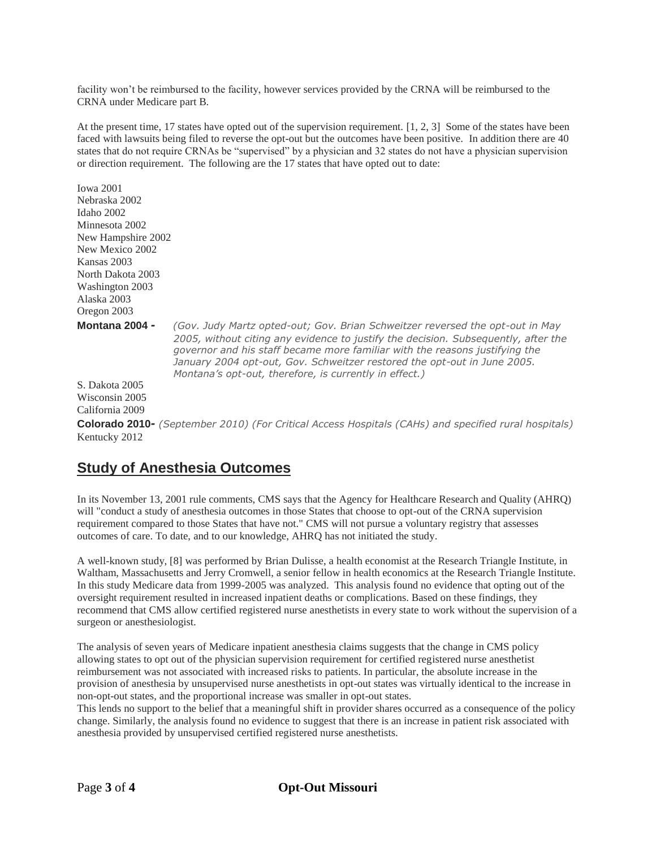facility won't be reimbursed to the facility, however services provided by the CRNA will be reimbursed to the CRNA under Medicare part B.

At the present time, 17 states have opted out of the supervision requirement. [1, 2, 3] Some of the states have been faced with lawsuits being filed to reverse the opt-out but the outcomes have been positive. In addition there are 40 states that do not require CRNAs be "supervised" by a physician and 32 states do not have a physician supervision or direction requirement. The following are the 17 states that have opted out to date:

| <b>Iowa 2001</b>      |                                                                                                                                                                                                                                                                                                                                                                                          |
|-----------------------|------------------------------------------------------------------------------------------------------------------------------------------------------------------------------------------------------------------------------------------------------------------------------------------------------------------------------------------------------------------------------------------|
| Nebraska 2002         |                                                                                                                                                                                                                                                                                                                                                                                          |
| Idaho 2002            |                                                                                                                                                                                                                                                                                                                                                                                          |
| Minnesota 2002        |                                                                                                                                                                                                                                                                                                                                                                                          |
| New Hampshire 2002    |                                                                                                                                                                                                                                                                                                                                                                                          |
| New Mexico 2002       |                                                                                                                                                                                                                                                                                                                                                                                          |
| Kansas 2003           |                                                                                                                                                                                                                                                                                                                                                                                          |
| North Dakota 2003     |                                                                                                                                                                                                                                                                                                                                                                                          |
| Washington 2003       |                                                                                                                                                                                                                                                                                                                                                                                          |
| Alaska 2003           |                                                                                                                                                                                                                                                                                                                                                                                          |
| Oregon 2003           |                                                                                                                                                                                                                                                                                                                                                                                          |
| <b>Montana 2004 -</b> | (Gov. Judy Martz opted-out; Gov. Brian Schweitzer reversed the opt-out in May<br>2005, without citing any evidence to justify the decision. Subsequently, after the<br>governor and his staff became more familiar with the reasons justifying the<br>January 2004 opt-out, Gov. Schweitzer restored the opt-out in June 2005.<br>Montana's opt-out, therefore, is currently in effect.) |
| S. Dakota 2005        |                                                                                                                                                                                                                                                                                                                                                                                          |
| Wisconsin 2005        |                                                                                                                                                                                                                                                                                                                                                                                          |
| California 2009       |                                                                                                                                                                                                                                                                                                                                                                                          |
|                       | Colorado 2010- (September 2010) (For Critical Access Hospitals (CAHs) and specified rural hospitals)                                                                                                                                                                                                                                                                                     |
| Kentucky 2012         |                                                                                                                                                                                                                                                                                                                                                                                          |

### **Study of Anesthesia Outcomes**

In its November 13, 2001 rule comments, CMS says that the Agency for Healthcare Research and Quality (AHRQ) will "conduct a study of anesthesia outcomes in those States that choose to opt-out of the CRNA supervision requirement compared to those States that have not." CMS will not pursue a voluntary registry that assesses outcomes of care. To date, and to our knowledge, AHRQ has not initiated the study.

A well-known study, [8] was performed by Brian Dulisse, a health economist at the Research Triangle Institute, in Waltham, Massachusetts and Jerry Cromwell, a senior fellow in health economics at the Research Triangle Institute. In this study Medicare data from 1999-2005 was analyzed. This analysis found no evidence that opting out of the oversight requirement resulted in increased inpatient deaths or complications. Based on these findings, they recommend that CMS allow certified registered nurse anesthetists in every state to work without the supervision of a surgeon or anesthesiologist.

The analysis of seven years of Medicare inpatient anesthesia claims suggests that the change in CMS policy allowing states to opt out of the physician supervision requirement for certified registered nurse anesthetist reimbursement was not associated with increased risks to patients. In particular, the absolute increase in the provision of anesthesia by unsupervised nurse anesthetists in opt-out states was virtually identical to the increase in non-opt-out states, and the proportional increase was smaller in opt-out states.

This lends no support to the belief that a meaningful shift in provider shares occurred as a consequence of the policy change. Similarly, the analysis found no evidence to suggest that there is an increase in patient risk associated with anesthesia provided by unsupervised certified registered nurse anesthetists.